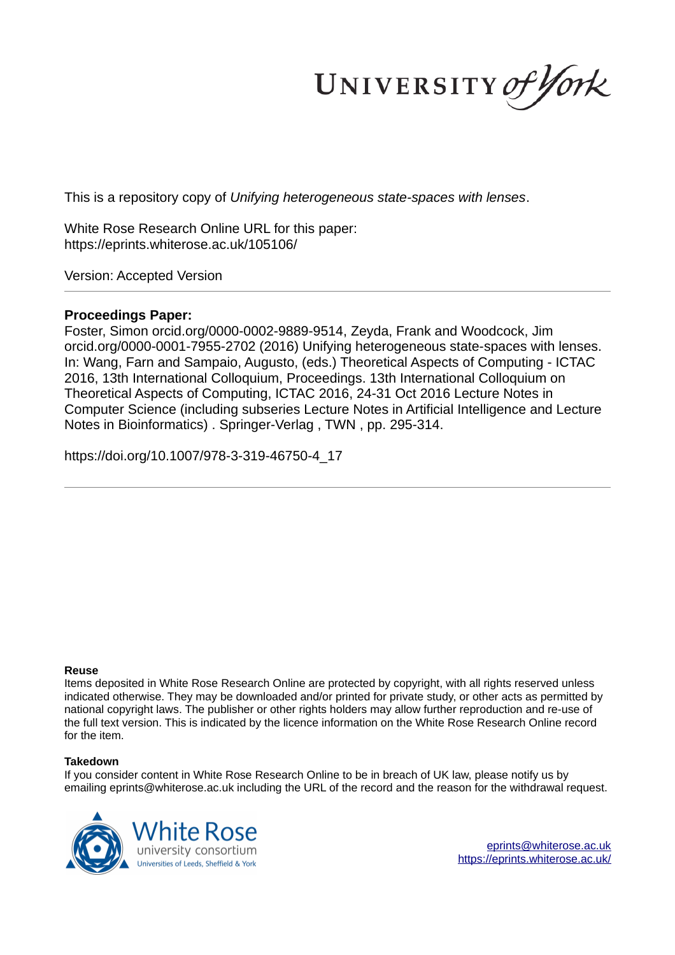UNIVERSITY of York

This is a repository copy of *Unifying heterogeneous state-spaces with lenses*.

White Rose Research Online URL for this paper: https://eprints.whiterose.ac.uk/105106/

Version: Accepted Version

# **Proceedings Paper:**

Foster, Simon orcid.org/0000-0002-9889-9514, Zeyda, Frank and Woodcock, Jim orcid.org/0000-0001-7955-2702 (2016) Unifying heterogeneous state-spaces with lenses. In: Wang, Farn and Sampaio, Augusto, (eds.) Theoretical Aspects of Computing - ICTAC 2016, 13th International Colloquium, Proceedings. 13th International Colloquium on Theoretical Aspects of Computing, ICTAC 2016, 24-31 Oct 2016 Lecture Notes in Computer Science (including subseries Lecture Notes in Artificial Intelligence and Lecture Notes in Bioinformatics) . Springer-Verlag , TWN , pp. 295-314.

https://doi.org/10.1007/978-3-319-46750-4\_17

## **Reuse**

Items deposited in White Rose Research Online are protected by copyright, with all rights reserved unless indicated otherwise. They may be downloaded and/or printed for private study, or other acts as permitted by national copyright laws. The publisher or other rights holders may allow further reproduction and re-use of the full text version. This is indicated by the licence information on the White Rose Research Online record for the item.

## **Takedown**

If you consider content in White Rose Research Online to be in breach of UK law, please notify us by emailing eprints@whiterose.ac.uk including the URL of the record and the reason for the withdrawal request.



eprints@whiterose.ac.uk https://eprints.whiterose.ac.uk/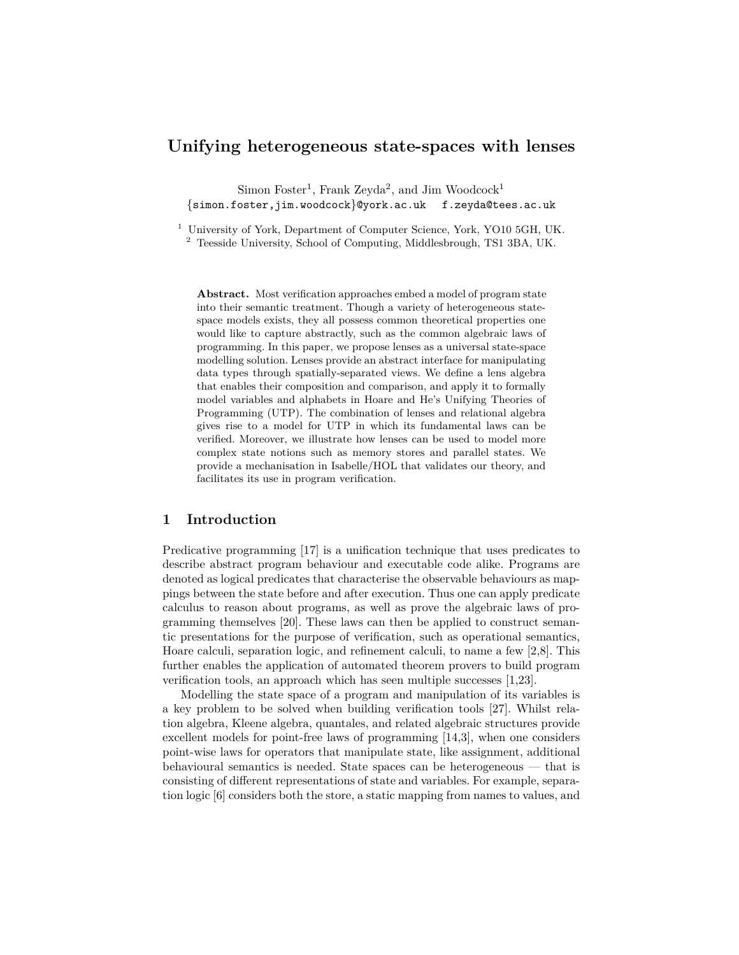# **Unifying heterogeneous state-spaces with lenses**

Simon Foster<sup>1</sup>, Frank Zeyda<sup>2</sup>, and Jim Woodcock<sup>1</sup> {simon.foster,jim.woodcock}@york.ac.uk f.zeyda@tees.ac.uk

<sup>1</sup> University of York, Department of Computer Science, York, YO10 5GH, UK. <sup>2</sup> Teesside University, School of Computing, Middlesbrough, TS1 3BA, UK.

**Abstract.** Most verification approaches embed a model of program state into their semantic treatment. Though a variety of heterogeneous statespace models exists, they all possess common theoretical properties one would like to capture abstractly, such as the common algebraic laws of programming. In this paper, we propose lenses as a universal state-space modelling solution. Lenses provide an abstract interface for manipulating data types through spatially-separated views. We define a lens algebra that enables their composition and comparison, and apply it to formally model variables and alphabets in Hoare and He's Unifying Theories of Programming (UTP). The combination of lenses and relational algebra gives rise to a model for UTP in which its fundamental laws can be verified. Moreover, we illustrate how lenses can be used to model more complex state notions such as memory stores and parallel states. We provide a mechanisation in Isabelle/HOL that validates our theory, and facilitates its use in program verification.

## **1 Introduction**

Predicative programming [17] is a unification technique that uses predicates to describe abstract program behaviour and executable code alike. Programs are denoted as logical predicates that characterise the observable behaviours as mappings between the state before and after execution. Thus one can apply predicate calculus to reason about programs, as well as prove the algebraic laws of programming themselves [20]. These laws can then be applied to construct semantic presentations for the purpose of verification, such as operational semantics, Hoare calculi, separation logic, and refinement calculi, to name a few [2,8]. This further enables the application of automated theorem provers to build program verification tools, an approach which has seen multiple successes [1,23].

Modelling the state space of a program and manipulation of its variables is a key problem to be solved when building verification tools [27]. Whilst relation algebra, Kleene algebra, quantales, and related algebraic structures provide excellent models for point-free laws of programming [14,3], when one considers point-wise laws for operators that manipulate state, like assignment, additional behavioural semantics is needed. State spaces can be heterogeneous — that is consisting of different representations of state and variables. For example, separation logic [6] considers both the store, a static mapping from names to values, and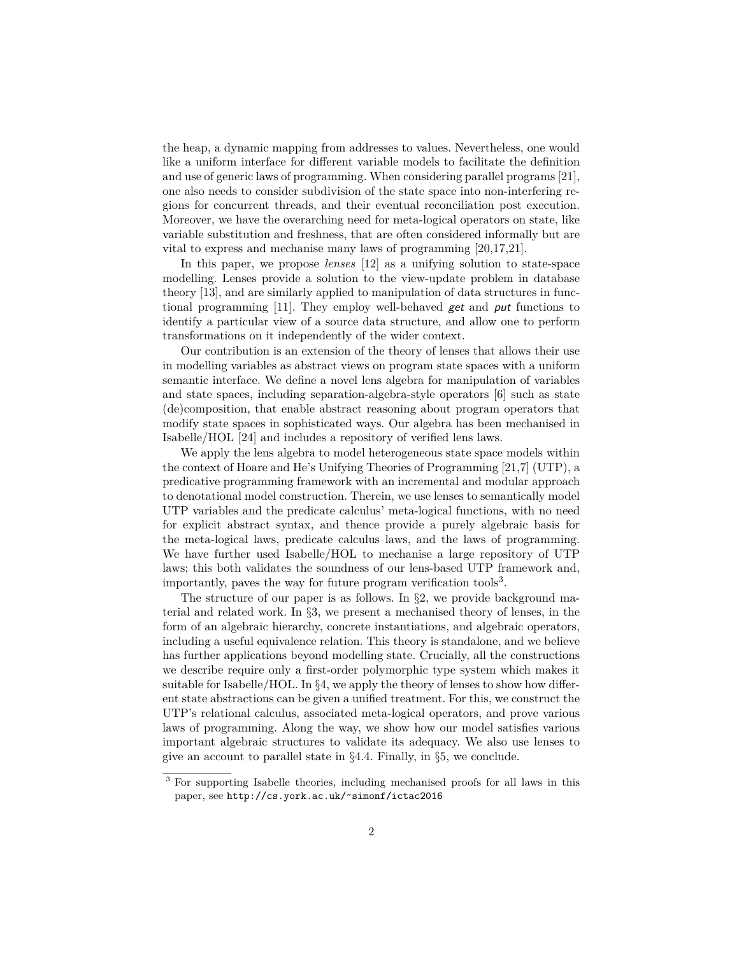the heap, a dynamic mapping from addresses to values. Nevertheless, one would like a uniform interface for different variable models to facilitate the definition and use of generic laws of programming. When considering parallel programs [21], one also needs to consider subdivision of the state space into non-interfering regions for concurrent threads, and their eventual reconciliation post execution. Moreover, we have the overarching need for meta-logical operators on state, like variable substitution and freshness, that are often considered informally but are vital to express and mechanise many laws of programming [20,17,21].

In this paper, we propose *lenses* [12] as a unifying solution to state-space modelling. Lenses provide a solution to the view-update problem in database theory [13], and are similarly applied to manipulation of data structures in functional programming [11]. They employ well-behaved get and put functions to identify a particular view of a source data structure, and allow one to perform transformations on it independently of the wider context.

Our contribution is an extension of the theory of lenses that allows their use in modelling variables as abstract views on program state spaces with a uniform semantic interface. We define a novel lens algebra for manipulation of variables and state spaces, including separation-algebra-style operators [6] such as state (de)composition, that enable abstract reasoning about program operators that modify state spaces in sophisticated ways. Our algebra has been mechanised in Isabelle/HOL [24] and includes a repository of verified lens laws.

We apply the lens algebra to model heterogeneous state space models within the context of Hoare and He's Unifying Theories of Programming [21,7] (UTP), a predicative programming framework with an incremental and modular approach to denotational model construction. Therein, we use lenses to semantically model UTP variables and the predicate calculus' meta-logical functions, with no need for explicit abstract syntax, and thence provide a purely algebraic basis for the meta-logical laws, predicate calculus laws, and the laws of programming. We have further used Isabelle/HOL to mechanise a large repository of UTP laws; this both validates the soundness of our lens-based UTP framework and, importantly, paves the way for future program verification tools<sup>3</sup>.

The structure of our paper is as follows. In §2, we provide background material and related work. In §3, we present a mechanised theory of lenses, in the form of an algebraic hierarchy, concrete instantiations, and algebraic operators, including a useful equivalence relation. This theory is standalone, and we believe has further applications beyond modelling state. Crucially, all the constructions we describe require only a first-order polymorphic type system which makes it suitable for Isabelle/HOL. In §4, we apply the theory of lenses to show how different state abstractions can be given a unified treatment. For this, we construct the UTP's relational calculus, associated meta-logical operators, and prove various laws of programming. Along the way, we show how our model satisfies various important algebraic structures to validate its adequacy. We also use lenses to give an account to parallel state in §4.4. Finally, in §5, we conclude.

<sup>&</sup>lt;sup>3</sup> For supporting Isabelle theories, including mechanised proofs for all laws in this paper, see http://cs.york.ac.uk/˜simonf/ictac2016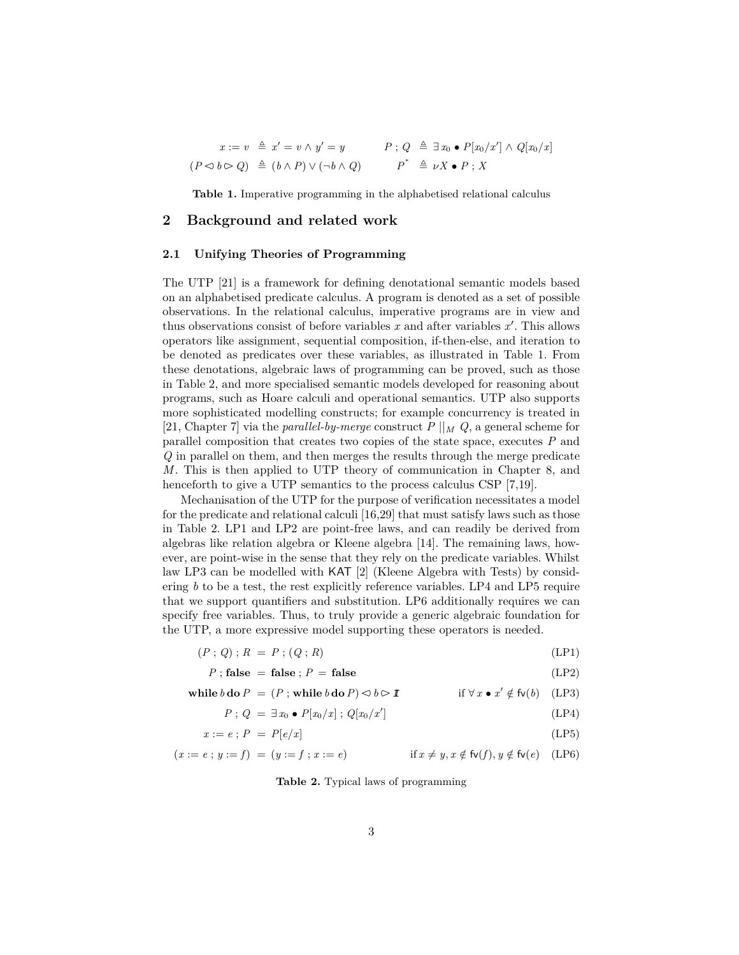$$
x := v \triangleq x' = v \wedge y' = y \qquad P; Q \triangleq \exists x_0 \bullet P[x_0/x'] \wedge Q[x_0/x]
$$
  

$$
(P \triangleleft b \triangle Q) \triangleq (b \wedge P) \vee (\neg b \wedge Q) \qquad P^* \triangleq \nu X \bullet P; X
$$

**Table 1.** Imperative programming in the alphabetised relational calculus

## **2 Background and related work**

#### **2.1 Unifying Theories of Programming**

The UTP [21] is a framework for defining denotational semantic models based on an alphabetised predicate calculus. A program is denoted as a set of possible observations. In the relational calculus, imperative programs are in view and thus observations consist of before variables  $x$  and after variables  $x'$ . This allows operators like assignment, sequential composition, if-then-else, and iteration to be denoted as predicates over these variables, as illustrated in Table 1. From these denotations, algebraic laws of programming can be proved, such as those in Table 2, and more specialised semantic models developed for reasoning about programs, such as Hoare calculi and operational semantics. UTP also supports more sophisticated modelling constructs; for example concurrency is treated in [21, Chapter 7] via the *parallel-by-merge* construct  $P||_M Q$ , a general scheme for parallel composition that creates two copies of the state space, executes *P* and *Q* in parallel on them, and then merges the results through the merge predicate *M*. This is then applied to UTP theory of communication in Chapter 8, and henceforth to give a UTP semantics to the process calculus CSP [7,19].

Mechanisation of the UTP for the purpose of verification necessitates a model for the predicate and relational calculi [16,29] that must satisfy laws such as those in Table 2. LP1 and LP2 are point-free laws, and can readily be derived from algebras like relation algebra or Kleene algebra [14]. The remaining laws, however, are point-wise in the sense that they rely on the predicate variables. Whilst law LP3 can be modelled with KAT [2] (Kleene Algebra with Tests) by considering *b* to be a test, the rest explicitly reference variables. LP4 and LP5 require that we support quantifiers and substitution. LP6 additionally requires we can specify free variables. Thus, to truly provide a generic algebraic foundation for the UTP, a more expressive model supporting these operators is needed.

$$
(P \; ; \; Q) \; ; \; R \; = \; P \; ; \; (Q \; ; \; R) \tag{LP1}
$$

$$
P; \text{false} = \text{false}; P = \text{false}
$$
 (LP2)

while 
$$
b \, \text{do } P = (P \, ; \, \text{while } b \, \text{do } P) \triangleleft b \triangleright \mathbf{I}
$$
 if  $\forall x \bullet x' \notin \text{fv}(b)$  (LP3)

$$
P \; ; \; Q \; = \; \exists \; x_0 \; \bullet \; P[x_0/x] \; ; \; Q[x_0/x'] \tag{LP4}
$$

$$
x := e \, ; \, P = P[e/x] \tag{LP5}
$$

$$
(x := e : y := f) = (y := f : x := e)
$$
 if  $x \neq y, x \notin f(v(f), y \notin f(v(e))$  (LP6)

**Table 2.** Typical laws of programming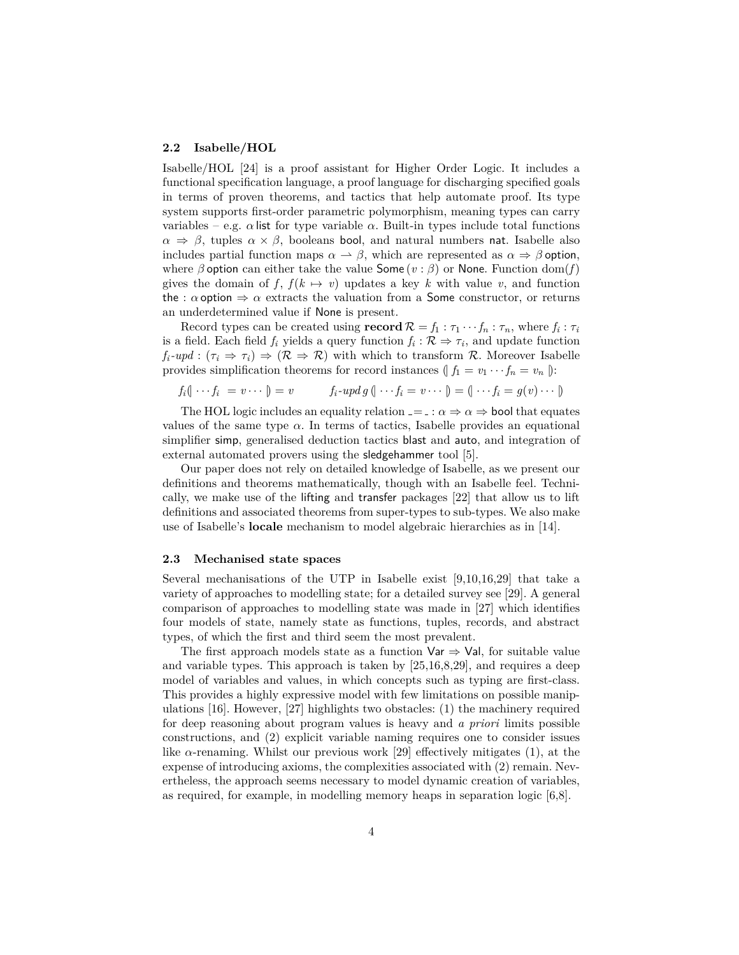#### **2.2 Isabelle/HOL**

Isabelle/HOL [24] is a proof assistant for Higher Order Logic. It includes a functional specification language, a proof language for discharging specified goals in terms of proven theorems, and tactics that help automate proof. Its type system supports first-order parametric polymorphism, meaning types can carry variables – e.g.  $\alpha$  list for type variable  $\alpha$ . Built-in types include total functions  $\alpha \Rightarrow \beta$ , tuples  $\alpha \times \beta$ , booleans bool, and natural numbers nat. Isabelle also includes partial function maps  $\alpha \to \beta$ , which are represented as  $\alpha \Rightarrow \beta$  option, where  $\beta$  option can either take the value Some  $(v : \beta)$  or None. Function dom(*f*) gives the domain of *f*,  $f(k \mapsto v)$  updates a key *k* with value *v*, and function the :  $\alpha$  option  $\Rightarrow \alpha$  extracts the valuation from a **Some** constructor, or returns an underdetermined value if None is present.

Record types can be created using  $\textbf{record} \mathcal{R} = f_1 : \tau_1 \cdots f_n : \tau_n$ , where  $f_i : \tau_i$ is a field. Each field  $f_i$  yields a query function  $f_i: \mathcal{R} \Rightarrow \tau_i$ , and update function  $f_i$ *-upd* :  $(\tau_i \Rightarrow \tau_i) \Rightarrow (\mathcal{R} \Rightarrow \mathcal{R})$  with which to transform R. Moreover Isabelle provides simplification theorems for record instances ( $| f_1 = v_1 \cdots f_n = v_n |$ ):

$$
f_i(\mathbf{0}\cdots f_i = v\cdots \mathbf{0}\mathbf{0}\mathbf{0}\cdots f_i\mathbf{-}wpd\,g\,(\mathbf{0}\cdots f_i = v\cdots \mathbf{0}\mathbf{0}\mathbf{0}\cdots f_i = g(v)\cdots \mathbf{0}\mathbf{0}
$$

The HOL logic includes an equality relation  $=$   $\alpha \Rightarrow \alpha \Rightarrow$  bool that equates values of the same type  $\alpha$ . In terms of tactics, Isabelle provides an equational simplifier simp, generalised deduction tactics blast and auto, and integration of external automated provers using the sledgehammer tool [5].

Our paper does not rely on detailed knowledge of Isabelle, as we present our definitions and theorems mathematically, though with an Isabelle feel. Technically, we make use of the lifting and transfer packages [22] that allow us to lift definitions and associated theorems from super-types to sub-types. We also make use of Isabelle's **locale** mechanism to model algebraic hierarchies as in [14].

#### **2.3 Mechanised state spaces**

Several mechanisations of the UTP in Isabelle exist [9,10,16,29] that take a variety of approaches to modelling state; for a detailed survey see [29]. A general comparison of approaches to modelling state was made in [27] which identifies four models of state, namely state as functions, tuples, records, and abstract types, of which the first and third seem the most prevalent.

The first approach models state as a function  $\forall$ ar  $\Rightarrow$   $\forall$ al, for suitable value and variable types. This approach is taken by [25,16,8,29], and requires a deep model of variables and values, in which concepts such as typing are first-class. This provides a highly expressive model with few limitations on possible manipulations [16]. However, [27] highlights two obstacles: (1) the machinery required for deep reasoning about program values is heavy and *a priori* limits possible constructions, and (2) explicit variable naming requires one to consider issues like  $\alpha$ -renaming. Whilst our previous work [29] effectively mitigates (1), at the expense of introducing axioms, the complexities associated with (2) remain. Nevertheless, the approach seems necessary to model dynamic creation of variables, as required, for example, in modelling memory heaps in separation logic [6,8].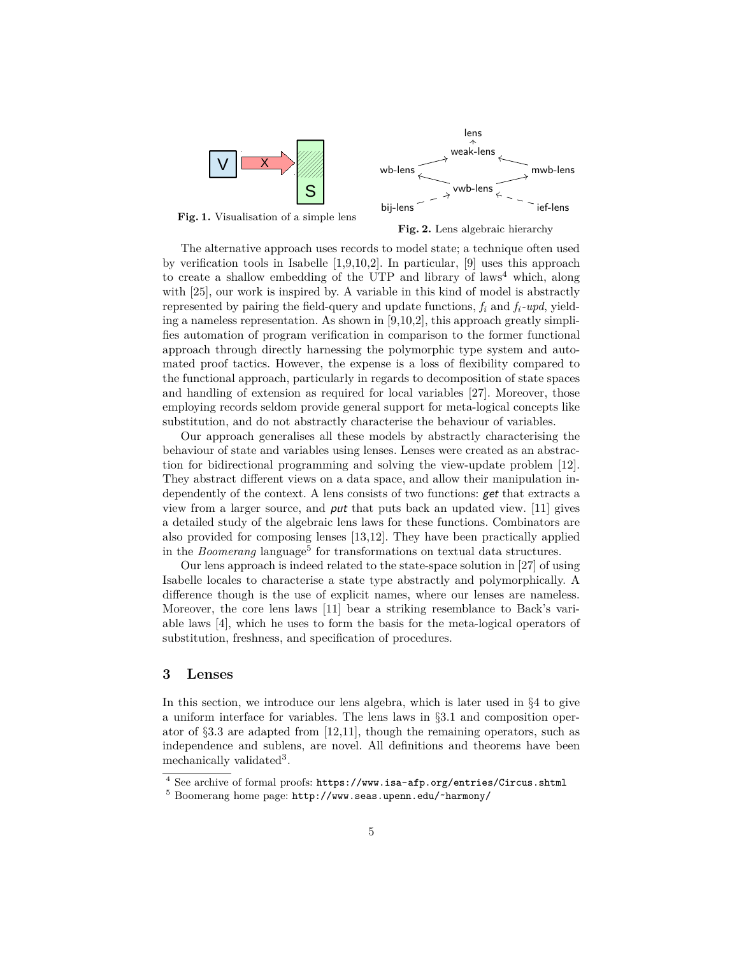

**Fig. 1.** Visualisation of a simple lens



The alternative approach uses records to model state; a technique often used by verification tools in Isabelle [1,9,10,2]. In particular, [9] uses this approach to create a shallow embedding of the UTP and library of laws<sup>4</sup> which, along with [25], our work is inspired by. A variable in this kind of model is abstractly represented by pairing the field-query and update functions, *f<sup>i</sup>* and *fi-upd*, yielding a nameless representation. As shown in [9,10,2], this approach greatly simplifies automation of program verification in comparison to the former functional approach through directly harnessing the polymorphic type system and automated proof tactics. However, the expense is a loss of flexibility compared to the functional approach, particularly in regards to decomposition of state spaces and handling of extension as required for local variables [27]. Moreover, those employing records seldom provide general support for meta-logical concepts like substitution, and do not abstractly characterise the behaviour of variables.

Our approach generalises all these models by abstractly characterising the behaviour of state and variables using lenses. Lenses were created as an abstraction for bidirectional programming and solving the view-update problem [12]. They abstract different views on a data space, and allow their manipulation independently of the context. A lens consists of two functions: get that extracts a view from a larger source, and  $put$  that puts back an updated view. [11] gives a detailed study of the algebraic lens laws for these functions. Combinators are also provided for composing lenses [13,12]. They have been practically applied in the *Boomerang* language<sup>5</sup> for transformations on textual data structures.

Our lens approach is indeed related to the state-space solution in [27] of using Isabelle locales to characterise a state type abstractly and polymorphically. A difference though is the use of explicit names, where our lenses are nameless. Moreover, the core lens laws [11] bear a striking resemblance to Back's variable laws [4], which he uses to form the basis for the meta-logical operators of substitution, freshness, and specification of procedures.

## **3 Lenses**

In this section, we introduce our lens algebra, which is later used in §4 to give a uniform interface for variables. The lens laws in §3.1 and composition operator of §3.3 are adapted from [12,11], though the remaining operators, such as independence and sublens, are novel. All definitions and theorems have been mechanically validated<sup>3</sup>.

<sup>4</sup> See archive of formal proofs: https://www.isa-afp.org/entries/Circus.shtml

<sup>5</sup> Boomerang home page: http://www.seas.upenn.edu/˜harmony/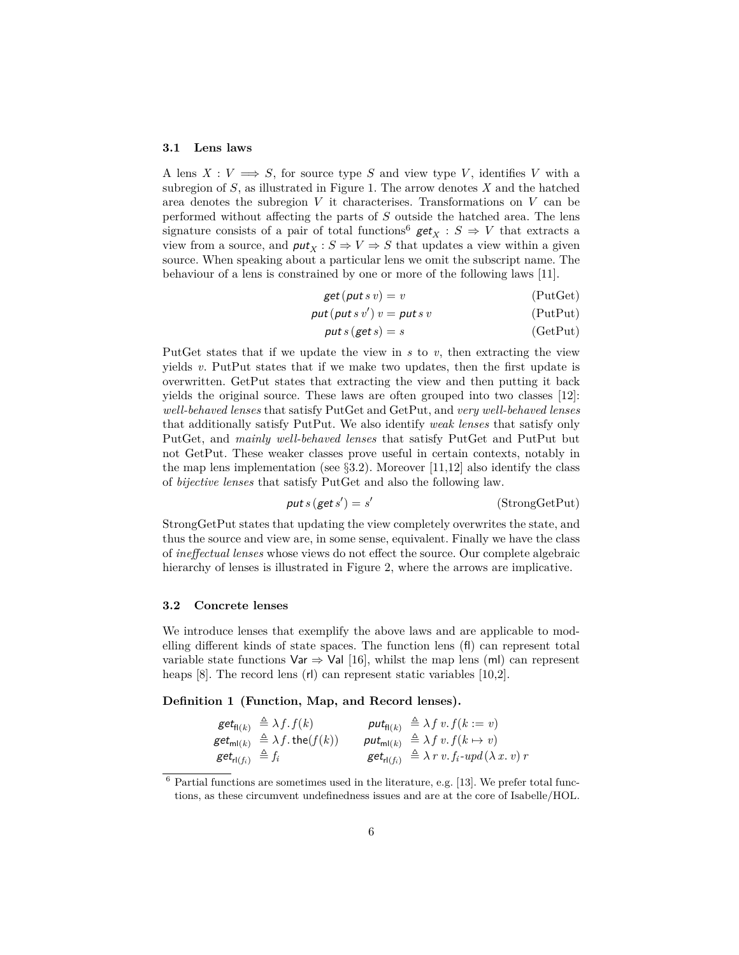#### **3.1 Lens laws**

A lens  $X: V \implies S$ , for source type S and view type V, identifies V with a subregion of S, as illustrated in Figure 1. The arrow denotes *X* and the hatched area denotes the subregion  $V$  it characterises. Transformations on  $V$  can be performed without affecting the parts of S outside the hatched area. The lens signature consists of a pair of total functions<sup>6</sup>  $get_X : S \Rightarrow V$  that extracts a view from a source, and  $\text{put}_X : S \Rightarrow V \Rightarrow S$  that updates a view within a given source. When speaking about a particular lens we omit the subscript name. The behaviour of a lens is constrained by one or more of the following laws [11].

$$
get(puts \, v) = v \tag{PutGet}
$$

$$
put(puts v') v = put sv
$$
 (PutPut)

$$
put\,s\,(get\,s) = s\tag{GetPut}
$$

PutGet states that if we update the view in *s* to *v*, then extracting the view yields *v*. PutPut states that if we make two updates, then the first update is overwritten. GetPut states that extracting the view and then putting it back yields the original source. These laws are often grouped into two classes [12]: *well-behaved lenses* that satisfy PutGet and GetPut, and *very well-behaved lenses* that additionally satisfy PutPut. We also identify *weak lenses* that satisfy only PutGet, and *mainly well-behaved lenses* that satisfy PutGet and PutPut but not GetPut. These weaker classes prove useful in certain contexts, notably in the map lens implementation (see  $\S 3.2$ ). Moreover [11,12] also identify the class of *bijective lenses* that satisfy PutGet and also the following law.

$$
put\,s\,(get\,s') = s'\tag{StrongGetPut}
$$

StrongGetPut states that updating the view completely overwrites the state, and thus the source and view are, in some sense, equivalent. Finally we have the class of *ineffectual lenses* whose views do not effect the source. Our complete algebraic hierarchy of lenses is illustrated in Figure 2, where the arrows are implicative.

### **3.2 Concrete lenses**

We introduce lenses that exemplify the above laws and are applicable to modelling different kinds of state spaces. The function lens (fl) can represent total variable state functions  $\forall$ ar  $\Rightarrow$   $\forall$ al [16], whilst the map lens (ml) can represent heaps [8]. The record lens (rl) can represent static variables [10,2].

## **Definition 1 (Function, Map, and Record lenses).**

|                                                    | $\mathsf{get}_{\mathsf{fl}(k)} \triangleq \lambda f. f(k)$ | $put_{\mathsf{fl}(k)} \triangleq \lambda f v. f(k := v)$                                                |
|----------------------------------------------------|------------------------------------------------------------|---------------------------------------------------------------------------------------------------------|
|                                                    | $get_{ml(k)} \triangleq \lambda f.$ the $(f(k))$           | $put_{\mathrm{ml}(k)} \triangleq \lambda f v. f(k \mapsto v)$                                           |
| $\mathsf{get}_{\mathsf{rl}(f_i)} \ \triangleq f_i$ |                                                            | $get_{\mathsf{rl}(f_i)} \triangleq \lambda \, r \, v \cdot f_i\text{-}upd\,(\lambda \, x \cdot v) \, r$ |

 $6$  Partial functions are sometimes used in the literature, e.g. [13]. We prefer total functions, as these circumvent undefinedness issues and are at the core of Isabelle/HOL.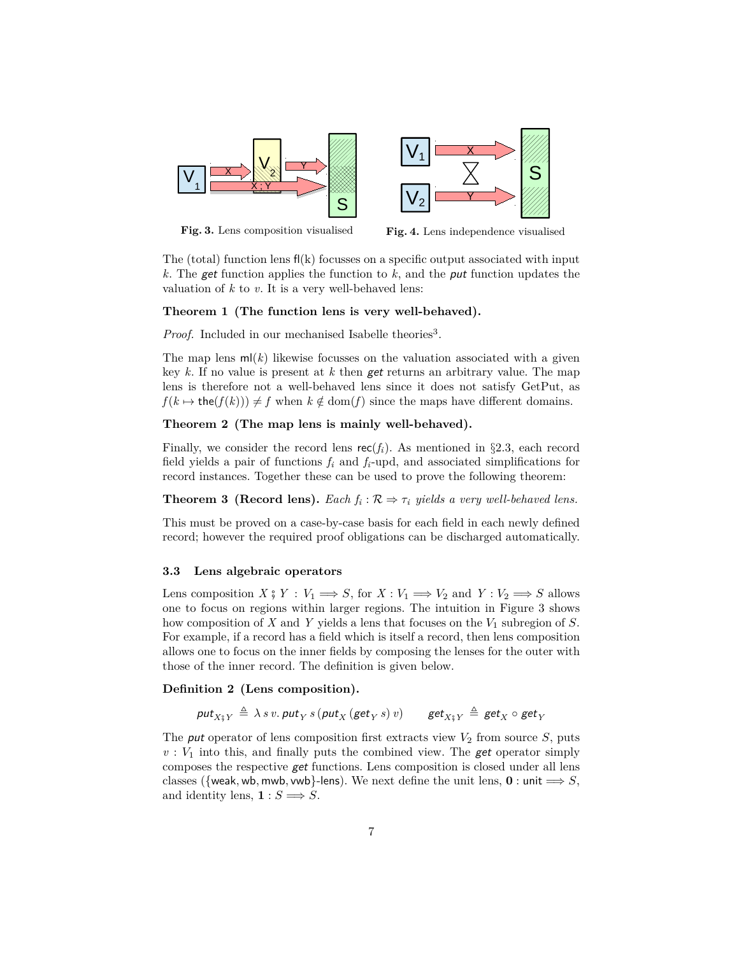

**Fig. 3.** Lens composition visualised



**Fig. 4.** Lens independence visualised

The (total) function lens  $f(x)$  focusses on a specific output associated with input  $k$ . The get function applies the function to  $k$ , and the *put* function updates the valuation of *k* to *v*. It is a very well-behaved lens:

#### **Theorem 1 (The function lens is very well-behaved).**

*Proof.* Included in our mechanised Isabelle theories<sup>3</sup>.

The map lens  $m(k)$  likewise focusses on the valuation associated with a given key *k*. If no value is present at *k* then get returns an arbitrary value. The map lens is therefore not a well-behaved lens since it does not satisfy GetPut, as  $f(k \mapsto \text{the}(f(k))) \neq f$  when  $k \notin \text{dom}(f)$  since the maps have different domains.

## **Theorem 2 (The map lens is mainly well-behaved).**

Finally, we consider the record lens  $rec(f_i)$ . As mentioned in §2.3, each record field yields a pair of functions *f<sup>i</sup>* and *fi*-upd, and associated simplifications for record instances. Together these can be used to prove the following theorem:

**Theorem 3 (Record lens).** *Each*  $f_i : \mathcal{R} \Rightarrow \tau_i$  *yields a very well-behaved lens.* 

This must be proved on a case-by-case basis for each field in each newly defined record; however the required proof obligations can be discharged automatically.

#### **3.3 Lens algebraic operators**

Lens composition  $X \overset{\circ}{\circ} Y : V_1 \Longrightarrow S$ , for  $X : V_1 \Longrightarrow V_2$  and  $Y : V_2 \Longrightarrow S$  allows one to focus on regions within larger regions. The intuition in Figure 3 shows how composition of  $X$  and  $Y$  yields a lens that focuses on the  $V_1$  subregion of  $S$ . For example, if a record has a field which is itself a record, then lens composition allows one to focus on the inner fields by composing the lenses for the outer with those of the inner record. The definition is given below.

## **Definition 2 (Lens composition).**

$$
\mathit{put}_{X\S Y} \triangleq \lambda \, s \, v. \, \mathit{put}_{Y} \, s \, (\mathit{put}_{X} \, (\mathit{get}_{Y} \, s) \, v) \qquad \mathit{get}_{X\S Y} \triangleq \mathit{get}_{X} \circ \mathit{get}_{Y}
$$

The *put* operator of lens composition first extracts view  $V_2$  from source  $S$ , puts  $v: V_1$  into this, and finally puts the combined view. The get operator simply composes the respective get functions. Lens composition is closed under all lens classes ({weak, wb, mwb, vwb}-lens). We next define the unit lens,  $\mathbf{0}:$  unit  $\Longrightarrow S$ , and identity lens,  $\mathbf{1}: S \longrightarrow S$ .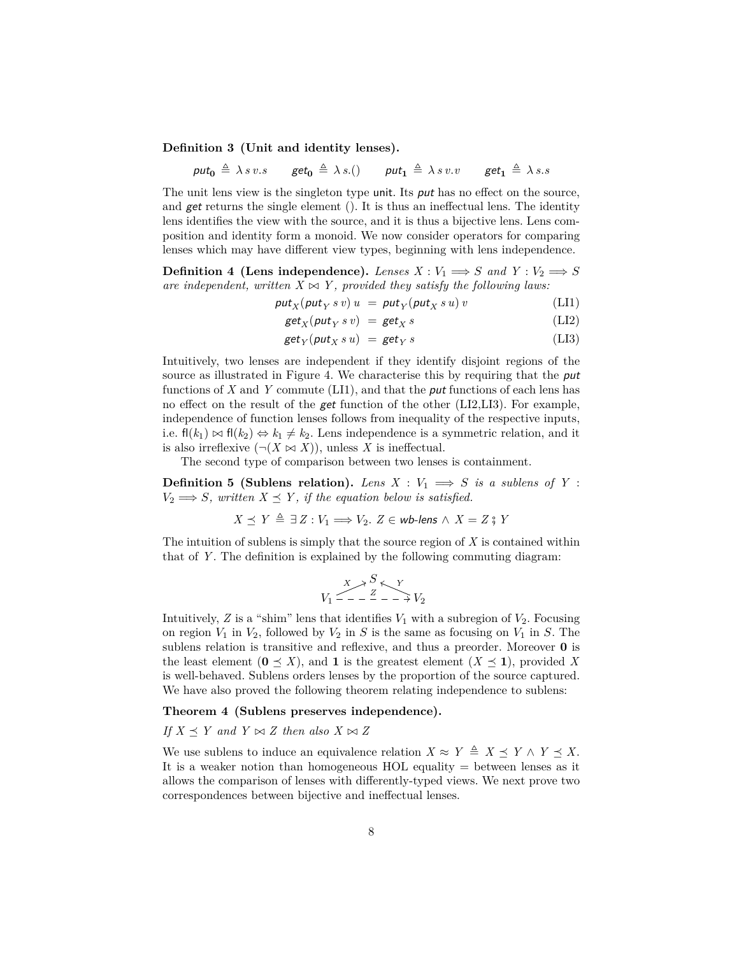**Definition 3 (Unit and identity lenses).**

$$
\text{put}_0 \triangleq \lambda s \, v.s \qquad \text{get}_0 \triangleq \lambda s. \quad \text{put}_1 \triangleq \lambda s \, v. \quad \text{get}_1 \triangleq \lambda s. \quad \text{get}_2 \triangleq \lambda s. \quad \text{get}_3 \triangleq \lambda s. \quad \text{get}_4 \triangleq \lambda s. \quad \text{get}_4 \triangleq \lambda s. \quad \text{get}_5 \triangleq \lambda s. \quad \text{get}_6 \triangleq \lambda s. \quad \text{get}_6 \triangleq \lambda s. \quad \text{get}_7 \triangleq \lambda s. \quad \text{get}_7 \triangleq \lambda s. \quad \text{get}_8 \triangleq \lambda s. \quad \text{get}_9 \triangleq \lambda s. \quad \text{get}_9 \triangleq \lambda s. \quad \text{get}_9 \triangleq \lambda s. \quad \text{get}_9 \triangleq \lambda s. \quad \text{get}_9 \triangleq \lambda s. \quad \text{get}_9 \triangleq \lambda s. \quad \text{get}_9 \triangleq \lambda s. \quad \text{get}_9 \triangleq \lambda s. \quad \text{get}_9 \triangleq \lambda s. \quad \text{get}_9 \triangleq \lambda s. \quad \text{get}_9 \triangleq \lambda s. \quad \text{get}_9 \triangleq \lambda s. \quad \text{get}_9 \triangleq \lambda s. \quad \text{get}_9 \triangleq \lambda s. \quad \text{get}_9 \triangleq \lambda s. \quad \text{get}_9 \triangleq \lambda s. \quad \text{get}_9 \triangleq \lambda s. \quad \text{get}_9 \triangleq \lambda s. \quad \text{get}_9 \triangleq \lambda s. \quad \text{get}_9 \triangleq \lambda s. \quad \text{get}_9 \triangleq \lambda s. \quad \text{get}_9 \triangleq \lambda s. \quad \text{get}_9 \triangleq \lambda s. \quad \text{get}_9 \triangleq \lambda s. \quad \text{get}_9 \triangleq \lambda s. \quad \text{get}_9 \triangleq \lambda s. \quad \text{get}_9 \triangleq \lambda s. \quad \text{get}_9 \triangleq \lambda s. \quad \text{get}_9 \triangleq \lambda s. \quad \text{get}_9 \triangleq \lambda s. \quad \text{get}_9 \triangleq \lambda s. \quad \text{get}_9 \triangleq \lambda s. \quad \text{get}_9 \triangleq \lambda s. \quad \text{get}_9 \triangleq \lambda s. \quad \text{get}_9 \triangleq \lambda s. \quad \text{get}_9 \triangleq \lambda s. \quad \text{
$$

The unit lens view is the singleton type unit. Its *put* has no effect on the source, and get returns the single element (). It is thus an ineffectual lens. The identity lens identifies the view with the source, and it is thus a bijective lens. Lens composition and identity form a monoid. We now consider operators for comparing lenses which may have different view types, beginning with lens independence.

**Definition 4 (Lens independence).** *Lenses*  $X: V_1 \Longrightarrow S$  *and*  $Y: V_2 \Longrightarrow S$ *are independent, written*  $X \Join Y$ *, provided they satisfy the following laws:* 

$$
\mathsf{put}_X(\mathsf{put}_Y \, s \, v) \, u \ = \mathsf{put}_Y(\mathsf{put}_X \, s \, u) \, v \tag{LII}
$$

$$
get_X(\text{put}_Y s v) = get_X s \tag{LI2}
$$

$$
get_Y(\text{put}_X s u) = get_Y s \tag{LI3}
$$

Intuitively, two lenses are independent if they identify disjoint regions of the source as illustrated in Figure 4. We characterise this by requiring that the *put* functions of *X* and *Y* commute (LI1), and that the put functions of each lens has no effect on the result of the get function of the other (LI2,LI3). For example, independence of function lenses follows from inequality of the respective inputs, i.e.  $f(x_1) \Join f(x_2) \Leftrightarrow k_1 \neq k_2$ . Lens independence is a symmetric relation, and it is also irreflexive  $(¬(X ∞ X))$ , unless *X* is ineffectual.

The second type of comparison between two lenses is containment.

**Definition 5 (Sublens relation).** *Lens X* :  $V_1 \implies S$  *is a sublens of Y* :  $V_2 \Longrightarrow S$ , written  $X \preceq Y$ , if the equation below is satisfied.

$$
X \preceq Y \triangleq \exists Z : V_1 \Longrightarrow V_2. Z \in \mathsf{wb-lens} \land X = Z \mathbin{\text{\texttt{\%}}}\ Y
$$

The intuition of sublens is simply that the source region of *X* is contained within that of *Y* . The definition is explained by the following commuting diagram:

$$
V_1 \xrightarrow{X} \xrightarrow{S} \searrow Y
$$
  

$$
V_1 \xrightarrow{Z} \xrightarrow{Y} V_2
$$

Intuitively,  $Z$  is a "shim" lens that identifies  $V_1$  with a subregion of  $V_2$ . Focusing on region  $V_1$  in  $V_2$ , followed by  $V_2$  in S is the same as focusing on  $V_1$  in S. The sublens relation is transitive and reflexive, and thus a preorder. Moreover **0** is the least element  $(0 \leq X)$ , and **1** is the greatest element  $(X \leq 1)$ , provided X is well-behaved. Sublens orders lenses by the proportion of the source captured. We have also proved the following theorem relating independence to sublens:

## **Theorem 4 (Sublens preserves independence).**

## *If*  $X \preceq Y$  and  $Y \bowtie Z$  then also  $X \bowtie Z$

We use sublens to induce an equivalence relation  $X \approx Y \triangleq X \leq Y \wedge Y \leq X$ . It is a weaker notion than homogeneous HOL equality = between lenses as it allows the comparison of lenses with differently-typed views. We next prove two correspondences between bijective and ineffectual lenses.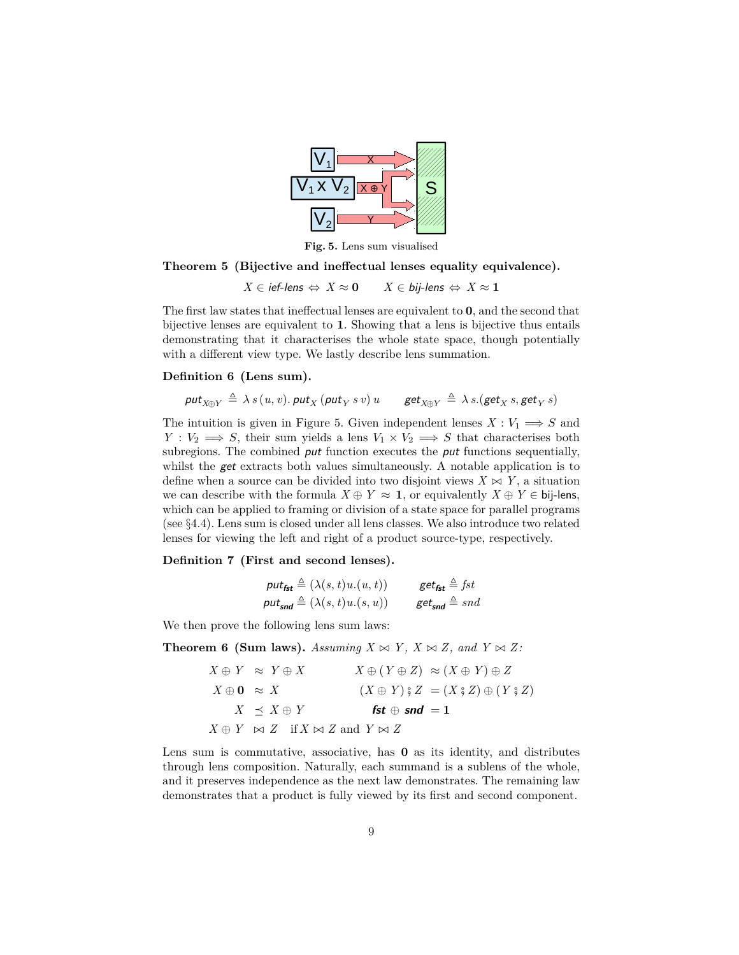

**Fig. 5.** Lens sum visualised

## **Theorem 5 (Bijective and ineffectual lenses equality equivalence).**

 $X \in \text{ief-lens} \Leftrightarrow X \approx 0$  *X*  $\in$  *bij-lens*  $\Leftrightarrow X \approx 1$ 

The first law states that ineffectual lenses are equivalent to **0**, and the second that bijective lenses are equivalent to **1**. Showing that a lens is bijective thus entails demonstrating that it characterises the whole state space, though potentially with a different view type. We lastly describe lens summation.

## **Definition 6 (Lens sum).**

$$
\textit{put}_{X \oplus Y} \ \triangleq \ \lambda \, s \, (u,v). \ \textit{put}_X \, (\textit{put}_Y \, s \, v) \, u \quad \quad \textit{get}_{X \oplus Y} \ \triangleq \ \lambda \, s. (\textit{get}_X \, s, \textit{get}_Y \, s)
$$

The intuition is given in Figure 5. Given independent lenses  $X: V_1 \Longrightarrow S$  and *Y* :  $V_2 \implies S$ , their sum yields a lens  $V_1 \times V_2 \implies S$  that characterises both subregions. The combined *put* function executes the *put* functions sequentially, whilst the *get* extracts both values simultaneously. A notable application is to define when a source can be divided into two disjoint views  $X \bowtie Y$ , a situation we can describe with the formula  $X \oplus Y \approx 1$ , or equivalently  $X \oplus Y \in$  bij-lens, which can be applied to framing or division of a state space for parallel programs (see §4.4). Lens sum is closed under all lens classes. We also introduce two related lenses for viewing the left and right of a product source-type, respectively.

## **Definition 7 (First and second lenses).**

$$
\begin{array}{ll}\n\text{put}_{\text{fst}} \triangleq (\lambda(s, t) u.(u, t)) & \text{get}_{\text{fst}} \triangleq \text{fst} \\
\text{put}_{\text{snd}} \triangleq (\lambda(s, t) u.(s, u)) & \text{get}_{\text{snd}} \triangleq \text{snd}\n\end{array}
$$

We then prove the following lens sum laws:

**Theorem 6 (Sum laws).** *Assuming*  $X \bowtie Y$ ,  $X \bowtie Z$ , and  $Y \bowtie Z$ :

$$
X \oplus Y \approx Y \oplus X
$$
  
\n
$$
X \oplus (Y \oplus Z) \approx (X \oplus Y) \oplus Z
$$
  
\n
$$
X \oplus 0 \approx X
$$
  
\n
$$
X \preceq X \oplus Y
$$
  
\n
$$
X \preceq X \oplus Y
$$
  
\n
$$
fst \oplus snd = 1
$$
  
\n
$$
X \oplus Y \approx Z \text{ if } X \bowtie Z \text{ and } Y \bowtie Z
$$

Lens sum is commutative, associative, has  $\bf{0}$  as its identity, and distributes through lens composition. Naturally, each summand is a sublens of the whole, and it preserves independence as the next law demonstrates. The remaining law demonstrates that a product is fully viewed by its first and second component.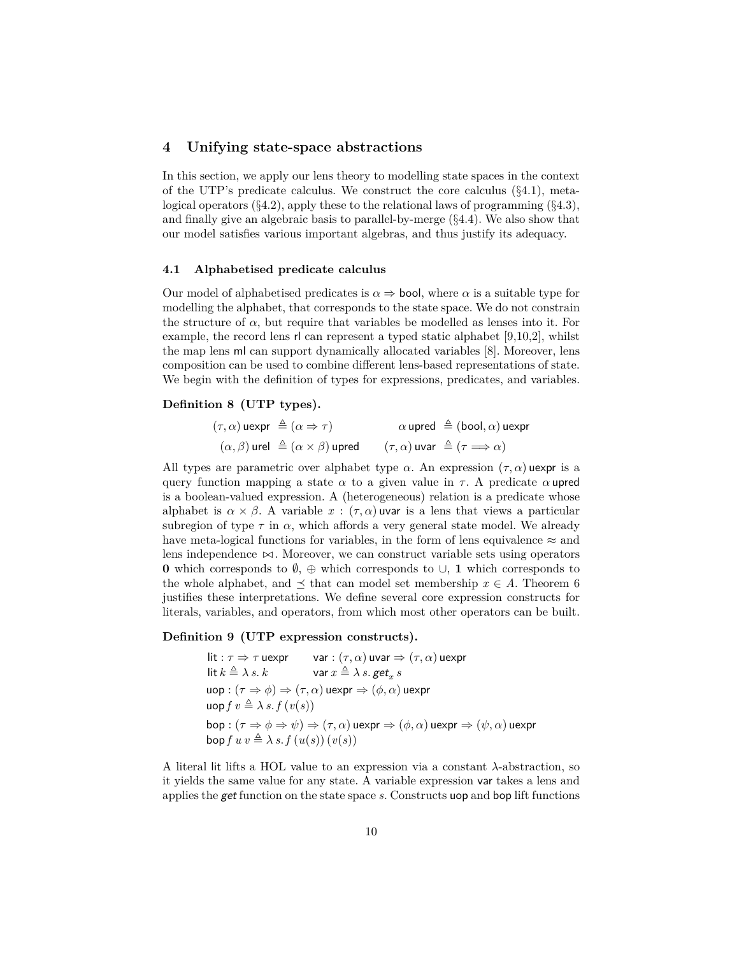## **4 Unifying state-space abstractions**

In this section, we apply our lens theory to modelling state spaces in the context of the UTP's predicate calculus. We construct the core calculus  $(\S 4.1)$ , metalogical operators  $(\S4.2)$ , apply these to the relational laws of programming  $(\S4.3)$ , and finally give an algebraic basis to parallel-by-merge  $(\S 4.4)$ . We also show that our model satisfies various important algebras, and thus justify its adequacy.

#### **4.1 Alphabetised predicate calculus**

Our model of alphabetised predicates is  $\alpha \Rightarrow$  bool, where  $\alpha$  is a suitable type for modelling the alphabet, that corresponds to the state space. We do not constrain the structure of  $\alpha$ , but require that variables be modelled as lenses into it. For example, the record lens rl can represent a typed static alphabet [9,10,2], whilst the map lens ml can support dynamically allocated variables [8]. Moreover, lens composition can be used to combine different lens-based representations of state. We begin with the definition of types for expressions, predicates, and variables.

## **Definition 8 (UTP types).**

| $(\tau,\alpha)$ uexpr $\triangleq (\alpha \Rightarrow \tau)$ |                                                                 | $\alpha$ upred $\triangleq$ (bool, $\alpha$ ) uexpr              |
|--------------------------------------------------------------|-----------------------------------------------------------------|------------------------------------------------------------------|
|                                                              | $(\alpha, \beta)$ urel $\triangleq (\alpha \times \beta)$ upred | $(\tau, \alpha)$ uvar $\triangleq (\tau \Longrightarrow \alpha)$ |

All types are parametric over alphabet type  $\alpha$ . An expression  $(\tau, \alpha)$  uexpr is a query function mapping a state  $\alpha$  to a given value in  $\tau$ . A predicate  $\alpha$  upred is a boolean-valued expression. A (heterogeneous) relation is a predicate whose alphabet is  $\alpha \times \beta$ . A variable  $x : (\tau, \alpha)$  uvar is a lens that views a particular subregion of type  $\tau$  in  $\alpha$ , which affords a very general state model. We already have meta-logical functions for variables, in the form of lens equivalence  $\approx$  and lens independence ⊲⊳ . Moreover, we can construct variable sets using operators **0** which corresponds to ∅, ⊕ which corresponds to ∪, **1** which corresponds to the whole alphabet, and  $\preceq$  that can model set membership  $x \in A$ . Theorem 6 justifies these interpretations. We define several core expression constructs for literals, variables, and operators, from which most other operators can be built.

### **Definition 9 (UTP expression constructs).**

lit :  $\tau \Rightarrow \tau$  uexpr var :  $(\tau, \alpha)$  uvar  $\Rightarrow (\tau, \alpha)$  uexpr  $\int \text{dist } k \triangleq \lambda \, s. \, k$  var  $x \triangleq \lambda \, s. \, get_x \, s$ uop :  $(\tau \Rightarrow \phi) \Rightarrow (\tau, \alpha)$  uexpr  $\Rightarrow (\phi, \alpha)$  uexpr uop  $f v \triangleq \lambda s$ ,  $f (v(s))$ bop :  $(\tau \Rightarrow \phi \Rightarrow \psi) \Rightarrow (\tau, \alpha)$  uexpr  $\Rightarrow (\phi, \alpha)$  uexpr  $\Rightarrow (\psi, \alpha)$  uexpr  $\text{top } f u v \triangleq \lambda s. f(u(s))(v(s))$ 

A literal lit lifts a HOL value to an expression via a constant λ-abstraction, so it yields the same value for any state. A variable expression var takes a lens and applies the get function on the state space *s*. Constructs uop and bop lift functions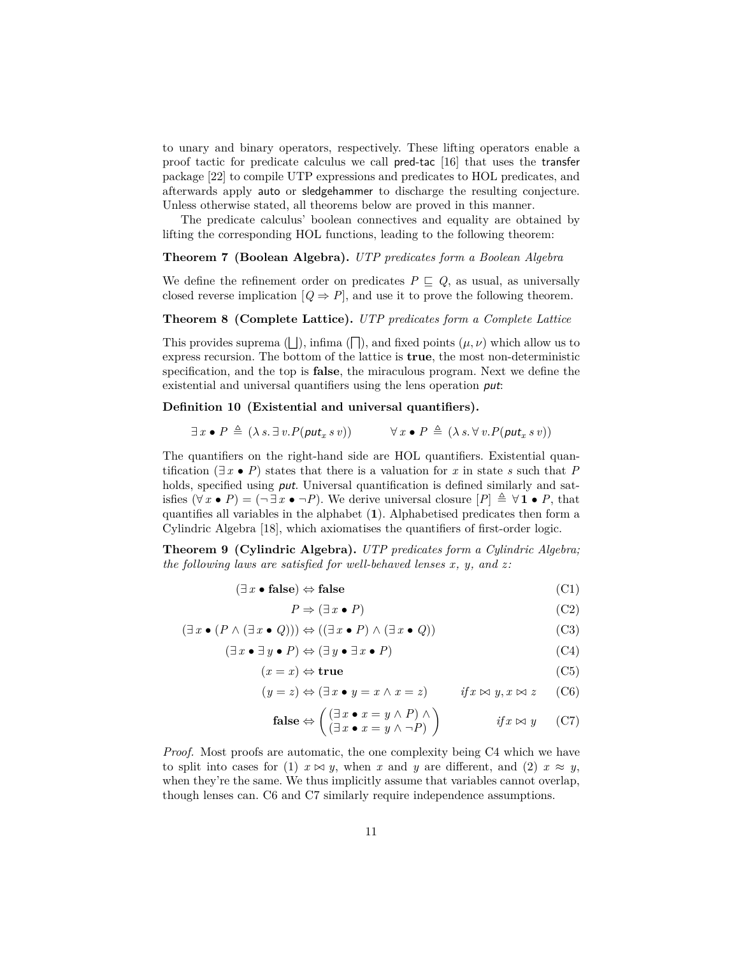to unary and binary operators, respectively. These lifting operators enable a proof tactic for predicate calculus we call pred-tac [16] that uses the transfer package [22] to compile UTP expressions and predicates to HOL predicates, and afterwards apply auto or sledgehammer to discharge the resulting conjecture. Unless otherwise stated, all theorems below are proved in this manner.

The predicate calculus' boolean connectives and equality are obtained by lifting the corresponding HOL functions, leading to the following theorem:

#### **Theorem 7 (Boolean Algebra).** *UTP predicates form a Boolean Algebra*

We define the refinement order on predicates  $P \subseteq Q$ , as usual, as universally closed reverse implication  $[Q \Rightarrow P]$ , and use it to prove the following theorem.

## **Theorem 8 (Complete Lattice).** *UTP predicates form a Complete Lattice*

This provides suprema ( $\Box$ ), infima ( $\Box$ ), and fixed points  $(\mu, \nu)$  which allow us to express recursion. The bottom of the lattice is **true**, the most non-deterministic specification, and the top is **false**, the miraculous program. Next we define the existential and universal quantifiers using the lens operation put:

## **Definition 10 (Existential and universal quantifiers).**

$$
\exists x \bullet P \triangleq (\lambda s. \exists v. P(\textit{put}_x s\, v)) \qquad \forall x \bullet P \triangleq (\lambda s. \forall v. P(\textit{put}_x s\, v))
$$

The quantifiers on the right-hand side are HOL quantifiers. Existential quantification  $(\exists x \bullet P)$  states that there is a valuation for x in state *s* such that P holds, specified using *put*. Universal quantification is defined similarly and satisfies  $(\forall x \bullet P) = (\neg \exists x \bullet \neg P)$ . We derive universal closure  $[P] \triangleq \forall \mathbf{1} \bullet P$ , that quantifies all variables in the alphabet (**1**). Alphabetised predicates then form a Cylindric Algebra [18], which axiomatises the quantifiers of first-order logic.

**Theorem 9 (Cylindric Algebra).** *UTP predicates form a Cylindric Algebra; the following laws are satisfied for well-behaved lenses x, y, and z:* 

$$
(\exists x \bullet \mathbf{false}) \Leftrightarrow \mathbf{false} \tag{C1}
$$

$$
P \Rightarrow (\exists x \bullet P) \tag{C2}
$$

$$
(\exists x \bullet (P \land (\exists x \bullet Q))) \Leftrightarrow ((\exists x \bullet P) \land (\exists x \bullet Q))
$$
\n(C3)

$$
(\exists x \bullet \exists y \bullet P) \Leftrightarrow (\exists y \bullet \exists x \bullet P) \tag{C4}
$$

$$
(x = x) \Leftrightarrow \text{true} \tag{C5}
$$

$$
(y = z) \Leftrightarrow (\exists x \bullet y = x \land x = z) \qquad \text{if } x \bowtie y, x \bowtie z \qquad (\text{C6})
$$

$$
\mathbf{false} \Leftrightarrow \begin{pmatrix} (\exists x \bullet x = y \land P) \land \\ (\exists x \bullet x = y \land \neg P) \end{pmatrix} \quad \text{if } x \bowtie y \quad (\text{C7})
$$

*Proof.* Most proofs are automatic, the one complexity being C4 which we have to split into cases for (1)  $x \bowtie y$ , when *x* and *y* are different, and (2)  $x \approx y$ , when they're the same. We thus implicitly assume that variables cannot overlap, though lenses can. C6 and C7 similarly require independence assumptions.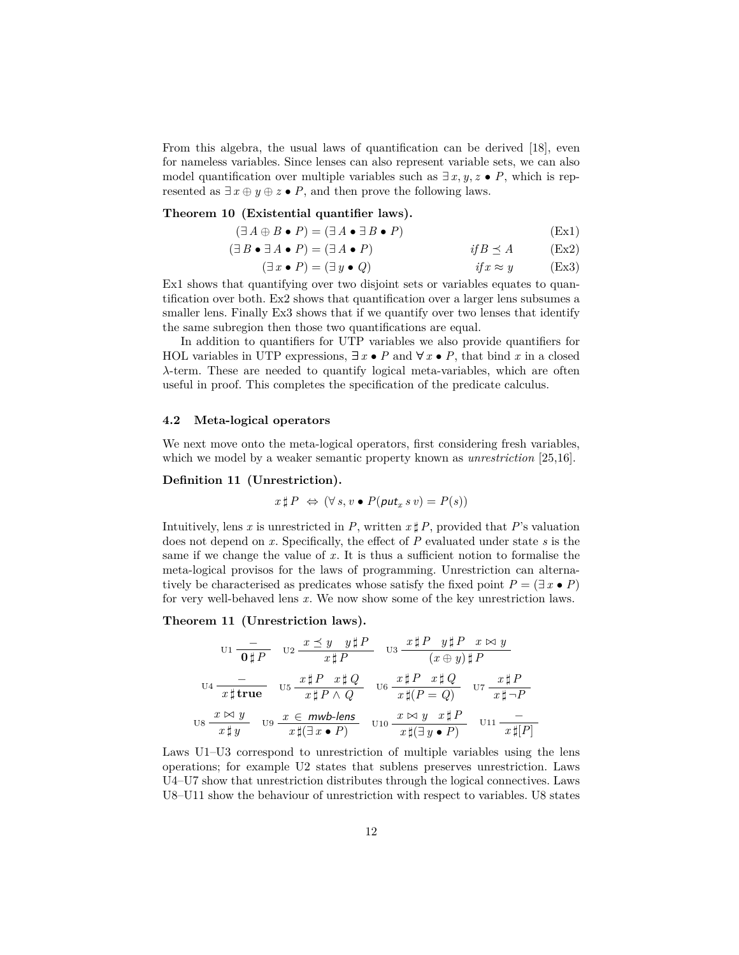From this algebra, the usual laws of quantification can be derived [18], even for nameless variables. Since lenses can also represent variable sets, we can also model quantification over multiple variables such as  $\exists x, y, z \bullet P$ , which is represented as  $\exists x \oplus y \oplus z \bullet P$ , and then prove the following laws.

## **Theorem 10 (Existential quantifier laws).**

$$
(\exists A \oplus B \bullet P) = (\exists A \bullet \exists B \bullet P) \tag{Ex1}
$$

$$
(\exists B \bullet \exists A \bullet P) = (\exists A \bullet P) \qquad \qquad \text{if } B \preceq A \qquad \text{(Ex2)}
$$

$$
(\exists x \bullet P) = (\exists y \bullet Q) \qquad \qquad if x \approx y \qquad \qquad (Ex3)
$$

Ex1 shows that quantifying over two disjoint sets or variables equates to quantification over both. Ex2 shows that quantification over a larger lens subsumes a smaller lens. Finally Ex3 shows that if we quantify over two lenses that identify the same subregion then those two quantifications are equal.

In addition to quantifiers for UTP variables we also provide quantifiers for HOL variables in UTP expressions,  $\exists x \bullet P$  and  $\forall x \bullet P$ , that bind x in a closed λ-term. These are needed to quantify logical meta-variables, which are often useful in proof. This completes the specification of the predicate calculus.

## **4.2 Meta-logical operators**

We next move onto the meta-logical operators, first considering fresh variables, which we model by a weaker semantic property known as *unrestriction* [25,16].

## **Definition 11 (Unrestriction).**

$$
x \sharp P \iff (\forall s, v \bullet P(\mathit{put}_x s v) = P(s))
$$

Intuitively, lens *x* is unrestricted in *P*, written  $x \sharp P$ , provided that *P*'s valuation does not depend on *x*. Specifically, the effect of *P* evaluated under state *s* is the same if we change the value of *x*. It is thus a sufficient notion to formalise the meta-logical provisos for the laws of programming. Unrestriction can alternatively be characterised as predicates whose satisfy the fixed point  $P = (\exists x \bullet P)$ for very well-behaved lens *x*. We now show some of the key unrestriction laws.

**Theorem 11 (Unrestriction laws).**

$$
\text{U1 } \frac{-}{\mathbf{0} \sharp P} \quad \text{U2 } \frac{x \leq y \quad y \sharp P}{x \sharp P} \quad \text{U3 } \frac{x \sharp P \quad y \sharp P \quad x \bowtie y}{(x \oplus y) \sharp P}
$$
\n
$$
\text{U4 } \frac{-}{x \sharp \mathbf{true}} \quad \text{U5 } \frac{x \sharp P \quad x \sharp Q}{x \sharp P \land Q} \quad \text{U6 } \frac{x \sharp P \quad x \sharp Q}{x \sharp (P = Q)} \quad \text{U7 } \frac{x \sharp P}{x \sharp \neg P}
$$
\n
$$
\text{U8 } \frac{x \bowtie y}{x \sharp y} \quad \text{U9 } \frac{x \in \text{mwb-lens}}{x \sharp (\exists x \bullet P)} \quad \text{U10 } \frac{x \bowtie y \quad x \sharp P}{x \sharp (\exists y \bullet P)} \quad \text{U11 } \frac{-}{x \sharp [P]}
$$

Laws U1–U3 correspond to unrestriction of multiple variables using the lens operations; for example U2 states that sublens preserves unrestriction. Laws U4–U7 show that unrestriction distributes through the logical connectives. Laws U8–U11 show the behaviour of unrestriction with respect to variables. U8 states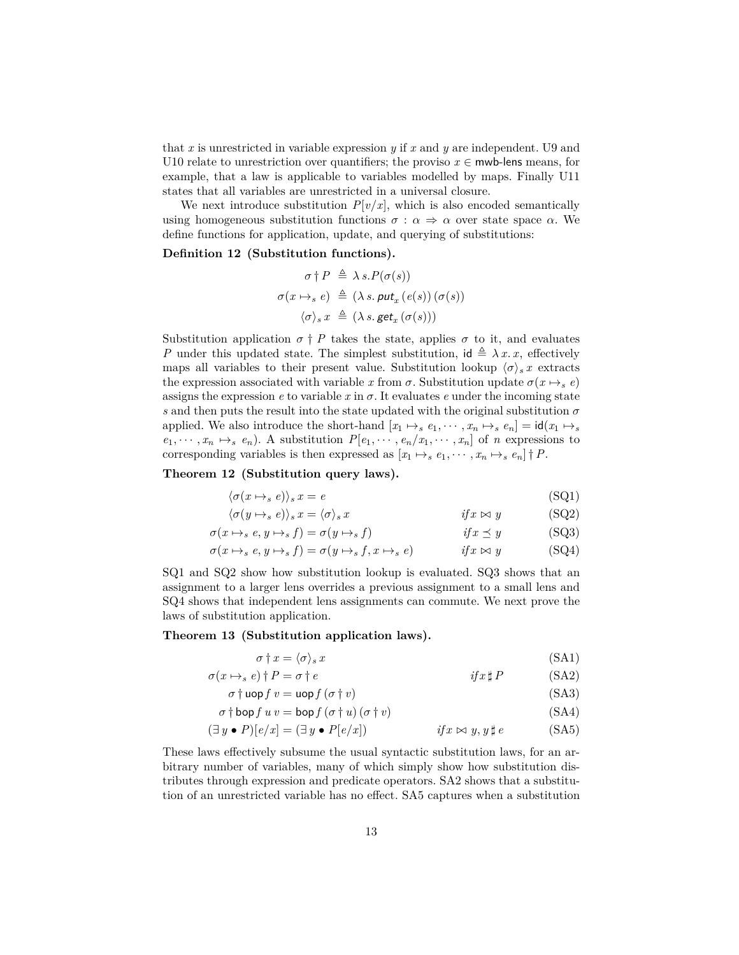that *x* is unrestricted in variable expression *y* if *x* and *y* are independent. U9 and U10 relate to unrestriction over quantifiers; the proviso  $x \in \text{mwb-lens means}$ , for example, that a law is applicable to variables modelled by maps. Finally U11 states that all variables are unrestricted in a universal closure.

We next introduce substitution  $P[v/x]$ , which is also encoded semantically using homogeneous substitution functions  $\sigma : \alpha \Rightarrow \alpha$  over state space  $\alpha$ . We define functions for application, update, and querying of substitutions:

#### **Definition 12 (Substitution functions).**

$$
\sigma \dagger P \triangleq \lambda s.P(\sigma(s))
$$
  

$$
\sigma(x \mapsto_s e) \triangleq (\lambda s.\text{put}_x (e(s)) (\sigma(s))
$$
  

$$
\langle \sigma \rangle_s x \triangleq (\lambda s.\text{get}_x (\sigma(s)))
$$

Substitution application  $\sigma \dagger P$  takes the state, applies  $\sigma$  to it, and evaluates *P* under this updated state. The simplest substitution, id  $\triangleq \lambda x.x$ , effectively maps all variables to their present value. Substitution lookup  $\langle \sigma \rangle_s x$  extracts the expression associated with variable *x* from  $\sigma$ . Substitution update  $\sigma(x \mapsto_s e)$ assigns the expression  $e$  to variable  $x$  in  $\sigma$ . It evaluates  $e$  under the incoming state *s* and then puts the result into the state updated with the original substitution  $\sigma$ applied. We also introduce the short-hand  $[x_1 \mapsto_s e_1, \cdots, x_n \mapsto_s e_n] = \text{id}(x_1 \mapsto_s$  $e_1, \dots, x_n \mapsto e_n$ . A substitution  $P[e_1, \dots, e_n/x_1, \dots, x_n]$  of *n* expressions to corresponding variables is then expressed as  $[x_1 \mapsto_s e_1, \dots, x_n \mapsto_s e_n] \dagger P$ .

**Theorem 12 (Substitution query laws).**

$$
\langle \sigma(x \mapsto_s e) \rangle_s x = e \tag{SQ1}
$$

$$
\langle \sigma(y \mapsto_s e) \rangle_s x = \langle \sigma \rangle_s x \qquad \text{if } x \bowtie y \qquad \text{(SQ2)}
$$

$$
\sigma(x \mapsto_s e, y \mapsto_s f) = \sigma(y \mapsto_s f) \qquad \text{if } x \le y \qquad (\text{SQ3})
$$

$$
\sigma(x \mapsto_s e, y \mapsto_s f) = \sigma(y \mapsto_s f, x \mapsto_s e) \qquad \text{if } x \bowtie y \tag{SQ4}
$$

SQ1 and SQ2 show how substitution lookup is evaluated. SQ3 shows that an assignment to a larger lens overrides a previous assignment to a small lens and SQ4 shows that independent lens assignments can commute. We next prove the laws of substitution application.

## **Theorem 13 (Substitution application laws).**

$$
\sigma \dagger x = \langle \sigma \rangle_s x \tag{SA1}
$$

$$
\sigma(x \mapsto_s e) \dagger P = \sigma \dagger e \qquad \text{(SA2)}
$$
  

$$
\sigma \dagger \text{loop } f y = \text{loop } f (\sigma \dagger y) \qquad \text{(SA3)}
$$

$$
\sigma \dagger \text{loop } f \ u \ v = \text{loop } f \ (\sigma \dagger u) (\sigma \dagger v) \tag{SA4}
$$

$$
(\exists y \bullet P)[e/x] = (\exists y \bullet P[e/x]) \qquad \text{if } x \approx y, y \sharp e \qquad (SA5)
$$

These laws effectively subsume the usual syntactic substitution laws, for an arbitrary number of variables, many of which simply show how substitution distributes through expression and predicate operators. SA2 shows that a substitution of an unrestricted variable has no effect. SA5 captures when a substitution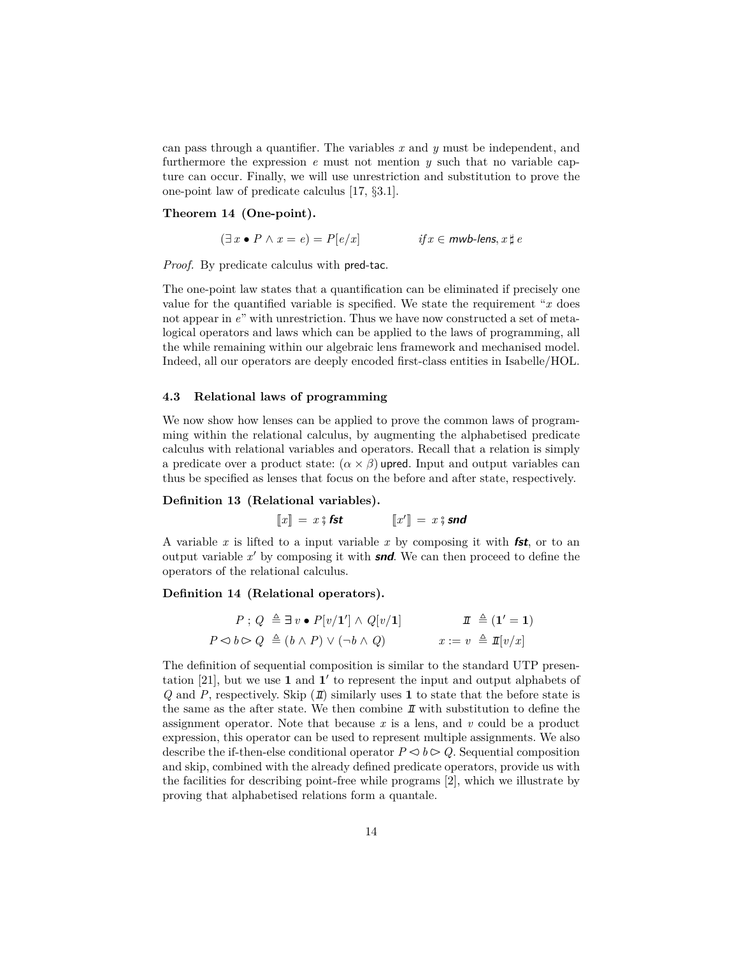can pass through a quantifier. The variables *x* and *y* must be independent, and furthermore the expression *e* must not mention *y* such that no variable capture can occur. Finally, we will use unrestriction and substitution to prove the one-point law of predicate calculus [17, §3.1].

## **Theorem 14 (One-point).**

$$
(\exists x \bullet P \land x = e) = P[e/x] \qquad \qquad \text{if } x \in \text{mwb-lens}, x \sharp e
$$

*Proof.* By predicate calculus with pred-tac.

The one-point law states that a quantification can be eliminated if precisely one value for the quantified variable is specified. We state the requirement "*x* does not appear in *e*" with unrestriction. Thus we have now constructed a set of metalogical operators and laws which can be applied to the laws of programming, all the while remaining within our algebraic lens framework and mechanised model. Indeed, all our operators are deeply encoded first-class entities in Isabelle/HOL.

## **4.3 Relational laws of programming**

We now show how lenses can be applied to prove the common laws of programming within the relational calculus, by augmenting the alphabetised predicate calculus with relational variables and operators. Recall that a relation is simply a predicate over a product state:  $(\alpha \times \beta)$  upred. Input and output variables can thus be specified as lenses that focus on the before and after state, respectively.

## **Definition 13 (Relational variables).**

 $\llbracket x \rrbracket = x \; \mathfrak{s} \text{ } \textbf{fst}$   $\llbracket x' \rrbracket = x \; \mathfrak{s} \text{ } \textbf{snd}$ 

A variable *x* is lifted to a input variable *x* by composing it with **fst**, or to an output variable *x* ′ by composing it with **snd**. We can then proceed to define the operators of the relational calculus.

#### **Definition 14 (Relational operators).**

$$
P: Q \triangleq \exists v \bullet P[v/\mathbf{1}'] \land Q[v/\mathbf{1}] \qquad \qquad \mathbf{I} \triangleq (\mathbf{1}' = \mathbf{1})
$$
  

$$
P \triangleleft b \triangleright Q \triangleq (b \land P) \lor (\neg b \land Q) \qquad x := v \triangleq \mathbf{I}[v/x]
$$

The definition of sequential composition is similar to the standard UTP presentation [21], but we use **1** and **1** ′ to represent the input and output alphabets of *Q* and *P*, respectively. Skip (II) similarly uses 1 to state that the before state is the same as the after state. We then combine  $\mathbb I$  with substitution to define the assignment operator. Note that because *x* is a lens, and *v* could be a product expression, this operator can be used to represent multiple assignments. We also describe the if-then-else conditional operator  $P \triangleleft b \triangleright Q$ . Sequential composition and skip, combined with the already defined predicate operators, provide us with the facilities for describing point-free while programs [2], which we illustrate by proving that alphabetised relations form a quantale.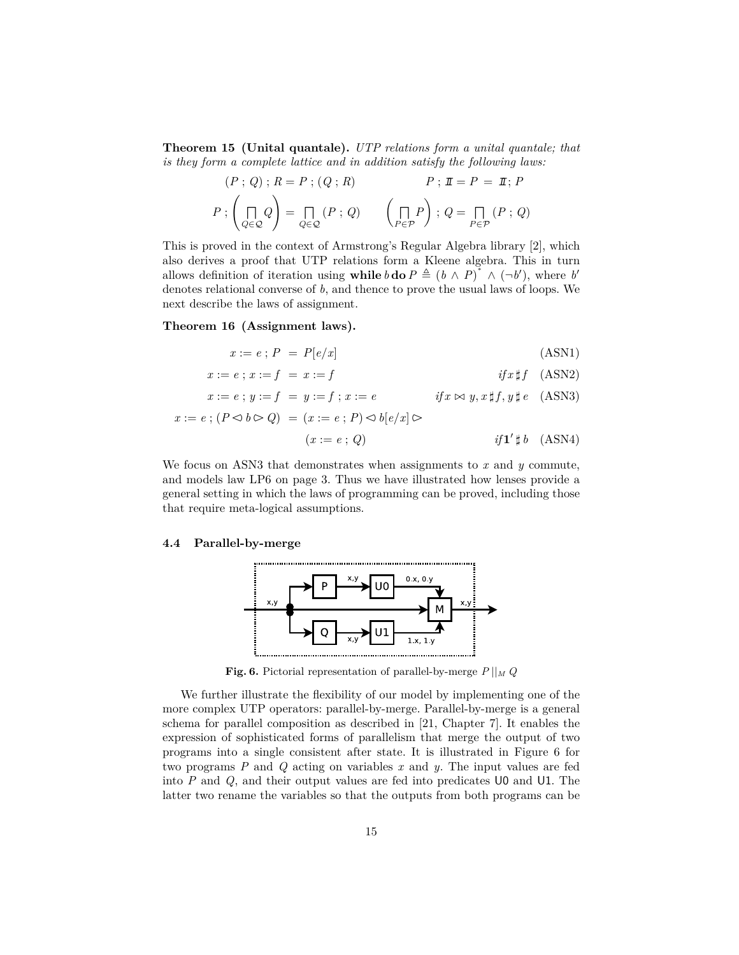**Theorem 15 (Unital quantale).** *UTP relations form a unital quantale; that is they form a complete lattice and in addition satisfy the following laws:*

$$
(P; Q); R = P; (Q; R)
$$
  

$$
P; \mathbf{I} = P = \mathbf{I}; P
$$
  

$$
P; \left(\bigcap_{Q \in \mathcal{Q}} Q\right) = \bigcap_{Q \in \mathcal{Q}} (P; Q) \left(\bigcap_{P \in \mathcal{P}} P\right); Q = \bigcap_{P \in \mathcal{P}} (P; Q)
$$

This is proved in the context of Armstrong's Regular Algebra library [2], which also derives a proof that UTP relations form a Kleene algebra. This in turn allows definition of iteration using **while**  $b \, \textbf{do} \, P \triangleq (b \wedge P)^* \wedge (\neg b')$ , where  $b'$ denotes relational converse of *b*, and thence to prove the usual laws of loops. We next describe the laws of assignment.

### **Theorem 16 (Assignment laws).**

$$
x := e \; ; \; P \; = \; P[e/x] \tag{ASN1}
$$

$$
x := e \; ; \; x := f \; = \; x := f \qquad \qquad if \; x \, \sharp \, f \quad \text{(ASN2)}
$$

$$
x := e \; ; \; y := f \; = \; y := f \; ; \; x := e \qquad \qquad \text{if} \; x \bowtie y, x \, \sharp f, y \, \sharp \; e \quad \text{(ASN3)}
$$

$$
x := e : (P \triangleleft b \triangle Q) = (x := e : P) \triangleleft b[e/x] \triangle
$$
  

$$
(x := e : Q) \qquad \text{if } 1' \sharp b \quad \text{(ASN4)}
$$

We focus on ASN3 that demonstrates when assignments to *x* and *y* commute, and models law LP6 on page 3. Thus we have illustrated how lenses provide a general setting in which the laws of programming can be proved, including those that require meta-logical assumptions.

### **4.4 Parallel-by-merge**



**Fig. 6.** Pictorial representation of parallel-by-merge  $P \parallel_M Q$ 

We further illustrate the flexibility of our model by implementing one of the more complex UTP operators: parallel-by-merge. Parallel-by-merge is a general schema for parallel composition as described in [21, Chapter 7]. It enables the expression of sophisticated forms of parallelism that merge the output of two programs into a single consistent after state. It is illustrated in Figure 6 for two programs *P* and *Q* acting on variables *x* and *y*. The input values are fed into *P* and *Q*, and their output values are fed into predicates U0 and U1. The latter two rename the variables so that the outputs from both programs can be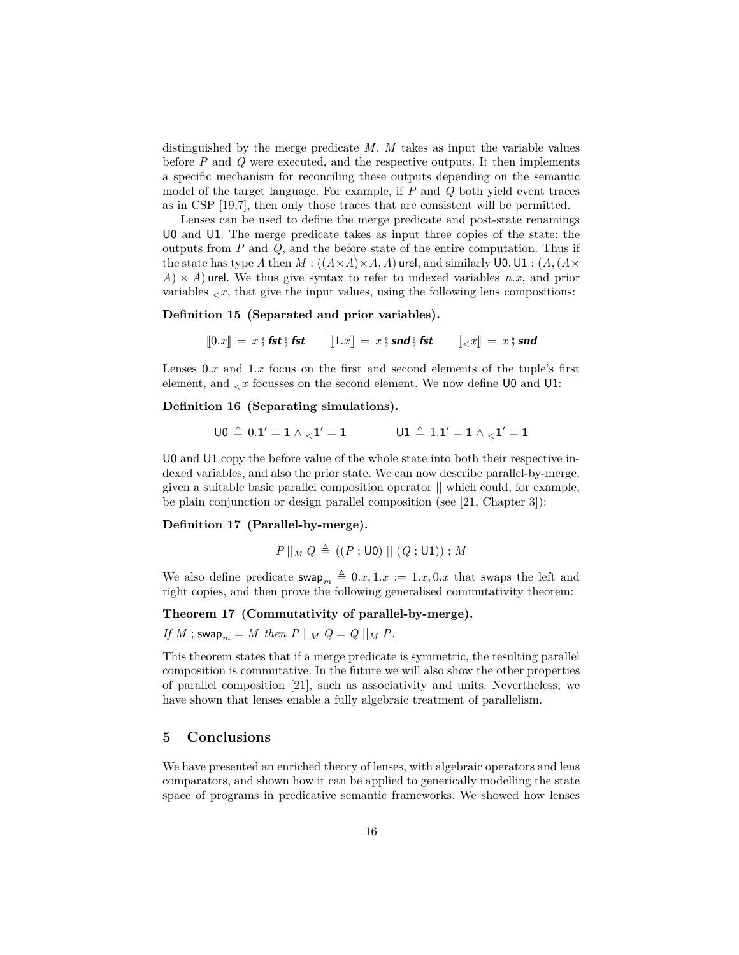distinguished by the merge predicate *M*. *M* takes as input the variable values before *P* and *Q* were executed, and the respective outputs. It then implements a specific mechanism for reconciling these outputs depending on the semantic model of the target language. For example, if *P* and *Q* both yield event traces as in CSP [19,7], then only those traces that are consistent will be permitted.

Lenses can be used to define the merge predicate and post-state renamings U0 and U1. The merge predicate takes as input three copies of the state: the outputs from *P* and *Q*, and the before state of the entire computation. Thus if the state has type *A* then  $M : ((A \times A) \times A, A)$  urel, and similarly  $U0, U1 : (A, (A \times A) \times A, A)$  $A) \times A$ ) urel. We thus give syntax to refer to indexed variables *n.x*, and prior variables  $\langle x, \rangle$  that give the input values, using the following lens compositions:

#### **Definition 15 (Separated and prior variables).**

$$
[\![0.x]\!] = x \mathbin{\text{\texttt{\%}}\mathit{fst}} \mathbin{\text{\texttt{fst}}\mathit{st}} \qquad [\![1.x]\!] = x \mathbin{\text{\texttt{\%}}\mathit{snd}} \mathbin{\text{\texttt{st}}}\qquad [\![
$$

Lenses 0.*x* and 1.*x* focus on the first and second elements of the tuple's first element, and  $\langle x \rangle$  focusses on the second element. We now define U0 and U1:

## **Definition 16 (Separating simulations).**

$$
\text{U0}\ \triangleq\ 0.1' = 1 \ \wedge\ {}_{<}1' = 1 \hspace{1cm} \text{U1}\ \triangleq\ 1.1' = 1 \ \wedge\ {}_{<}1' = 1
$$

U0 and U1 copy the before value of the whole state into both their respective indexed variables, and also the prior state. We can now describe parallel-by-merge, given a suitable basic parallel composition operator || which could, for example, be plain conjunction or design parallel composition (see [21, Chapter 3]):

## **Definition 17 (Parallel-by-merge).**

$$
P \parallel_M Q \triangleq ((P; \text{U0}) \parallel (Q; \text{U1})); M
$$

We also define predicate  $\textsf{swap}_m \triangleq 0.x, 1.x := 1.x, 0.x$  that swaps the left and right copies, and then prove the following generalised commutativity theorem:

## **Theorem 17 (Commutativity of parallel-by-merge).**

*If*  $M$  ; swap<sub>*m*</sub> =  $M$  then  $P ||_M Q = Q ||_M P$ .

This theorem states that if a merge predicate is symmetric, the resulting parallel composition is commutative. In the future we will also show the other properties of parallel composition [21], such as associativity and units. Nevertheless, we have shown that lenses enable a fully algebraic treatment of parallelism.

## **5 Conclusions**

We have presented an enriched theory of lenses, with algebraic operators and lens comparators, and shown how it can be applied to generically modelling the state space of programs in predicative semantic frameworks. We showed how lenses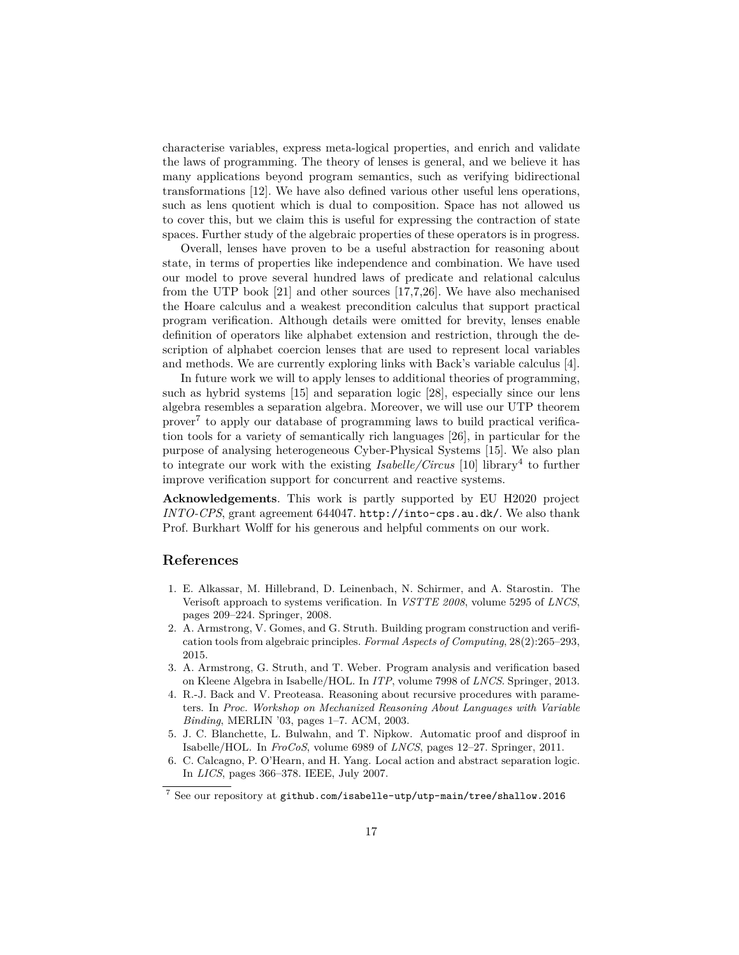characterise variables, express meta-logical properties, and enrich and validate the laws of programming. The theory of lenses is general, and we believe it has many applications beyond program semantics, such as verifying bidirectional transformations [12]. We have also defined various other useful lens operations, such as lens quotient which is dual to composition. Space has not allowed us to cover this, but we claim this is useful for expressing the contraction of state spaces. Further study of the algebraic properties of these operators is in progress.

Overall, lenses have proven to be a useful abstraction for reasoning about state, in terms of properties like independence and combination. We have used our model to prove several hundred laws of predicate and relational calculus from the UTP book [21] and other sources [17,7,26]. We have also mechanised the Hoare calculus and a weakest precondition calculus that support practical program verification. Although details were omitted for brevity, lenses enable definition of operators like alphabet extension and restriction, through the description of alphabet coercion lenses that are used to represent local variables and methods. We are currently exploring links with Back's variable calculus [4].

In future work we will to apply lenses to additional theories of programming, such as hybrid systems [15] and separation logic [28], especially since our lens algebra resembles a separation algebra. Moreover, we will use our UTP theorem prover<sup>7</sup> to apply our database of programming laws to build practical verification tools for a variety of semantically rich languages [26], in particular for the purpose of analysing heterogeneous Cyber-Physical Systems [15]. We also plan to integrate our work with the existing *Isabelle/Circus* [10] library<sup>4</sup> to further improve verification support for concurrent and reactive systems.

**Acknowledgements**. This work is partly supported by EU H2020 project *INTO-CPS*, grant agreement 644047. http://into-cps.au.dk/. We also thank Prof. Burkhart Wolff for his generous and helpful comments on our work.

## **References**

- 1. E. Alkassar, M. Hillebrand, D. Leinenbach, N. Schirmer, and A. Starostin. The Verisoft approach to systems verification. In *VSTTE 2008*, volume 5295 of *LNCS*, pages 209–224. Springer, 2008.
- 2. A. Armstrong, V. Gomes, and G. Struth. Building program construction and verification tools from algebraic principles. *Formal Aspects of Computing*, 28(2):265–293, 2015.
- 3. A. Armstrong, G. Struth, and T. Weber. Program analysis and verification based on Kleene Algebra in Isabelle/HOL. In *ITP*, volume 7998 of *LNCS*. Springer, 2013.
- 4. R.-J. Back and V. Preoteasa. Reasoning about recursive procedures with parameters. In *Proc. Workshop on Mechanized Reasoning About Languages with Variable Binding*, MERLIN '03, pages 1–7. ACM, 2003.
- 5. J. C. Blanchette, L. Bulwahn, and T. Nipkow. Automatic proof and disproof in Isabelle/HOL. In *FroCoS*, volume 6989 of *LNCS*, pages 12–27. Springer, 2011.
- 6. C. Calcagno, P. O'Hearn, and H. Yang. Local action and abstract separation logic. In *LICS*, pages 366–378. IEEE, July 2007.

<sup>7</sup> See our repository at github.com/isabelle-utp/utp-main/tree/shallow.2016